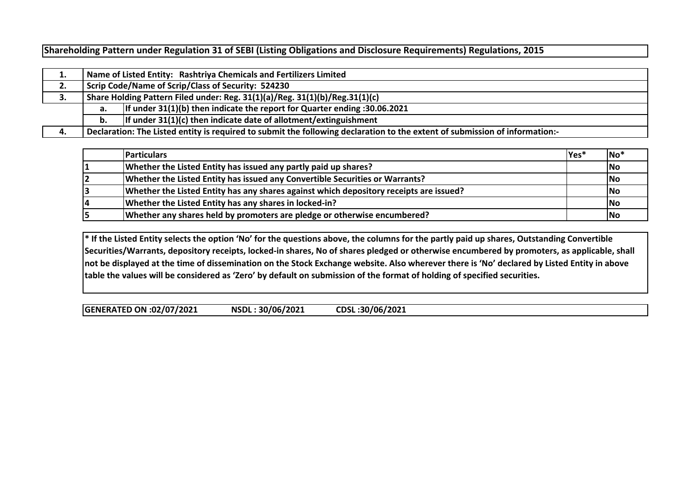**Shareholding Pattern under Regulation 31 of SEBI (Listing Obligations and Disclosure Requirements) Regulations, 2015**

| ∸. |                                                                             | Name of Listed Entity: Rashtriya Chemicals and Fertilizers Limited                                                          |  |  |  |  |  |  |  |  |  |  |  |
|----|-----------------------------------------------------------------------------|-----------------------------------------------------------------------------------------------------------------------------|--|--|--|--|--|--|--|--|--|--|--|
| 2. | Scrip Code/Name of Scrip/Class of Security: 524230                          |                                                                                                                             |  |  |  |  |  |  |  |  |  |  |  |
| з. | Share Holding Pattern Filed under: Reg. 31(1)(a)/Reg. 31(1)(b)/Reg.31(1)(c) |                                                                                                                             |  |  |  |  |  |  |  |  |  |  |  |
|    | а.                                                                          | If under $31(1)(b)$ then indicate the report for Quarter ending :30.06.2021                                                 |  |  |  |  |  |  |  |  |  |  |  |
|    | If under $31(1)(c)$ then indicate date of allotment/extinguishment          |                                                                                                                             |  |  |  |  |  |  |  |  |  |  |  |
| 4. |                                                                             | Declaration: The Listed entity is required to submit the following declaration to the extent of submission of information:- |  |  |  |  |  |  |  |  |  |  |  |

|    | <b>Particulars</b>                                                                     | Yes* | $\overline{\mathsf{No}}$ |
|----|----------------------------------------------------------------------------------------|------|--------------------------|
|    | Whether the Listed Entity has issued any partly paid up shares?                        |      | <b>No</b>                |
|    | Whether the Listed Entity has issued any Convertible Securities or Warrants?           |      | <b>No</b>                |
|    | Whether the Listed Entity has any shares against which depository receipts are issued? |      | <b>No</b>                |
| 14 | Whether the Listed Entity has any shares in locked-in?                                 |      | <b>No</b>                |
|    | Whether any shares held by promoters are pledge or otherwise encumbered?               |      | <b>No</b>                |

**\* If the Listed Entity selects the option 'No' for the questions above, the columns for the partly paid up shares, Outstanding Convertible Securities/Warrants, depository receipts, locked-in shares, No of shares pledged or otherwise encumbered by promoters, as applicable, shall not be displayed at the time of dissemination on the Stock Exchange website. Also wherever there is 'No' declared by Listed Entity in above table the values will be considered as 'Zero' by default on submission of the format of holding of specified securities.**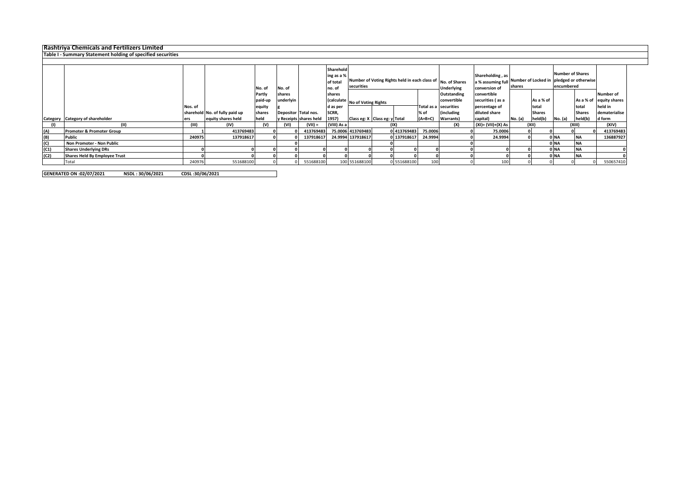|              | <b>Rashtriya Chemicals and Fertilizers Limited</b>          |         |                                |         |                      |                        |                                                                                                                            |                               |                                |             |           |                       |                                                        |         |               |                                                                                   |               |                  |
|--------------|-------------------------------------------------------------|---------|--------------------------------|---------|----------------------|------------------------|----------------------------------------------------------------------------------------------------------------------------|-------------------------------|--------------------------------|-------------|-----------|-----------------------|--------------------------------------------------------|---------|---------------|-----------------------------------------------------------------------------------|---------------|------------------|
|              | Table I - Summary Statement holding of specified securities |         |                                |         |                      |                        |                                                                                                                            |                               |                                |             |           |                       |                                                        |         |               |                                                                                   |               |                  |
|              |                                                             |         |                                |         |                      |                        |                                                                                                                            |                               |                                |             |           |                       |                                                        |         |               |                                                                                   |               |                  |
|              |                                                             |         |                                |         | No. of<br>No. of     |                        | Sharehold<br>ing as a %<br>Number of Voting Rights held in each class of No. of Shares<br>of total<br>securities<br>no. of |                               |                                |             |           | <b>Underlying</b>     | Shareholding, as<br>a % assuming full<br>conversion of | shares  |               | <b>Number of Shares</b><br>Number of Locked in pledged or otherwise<br>encumbered |               |                  |
|              |                                                             |         |                                | Partly  | shares               |                        | shares                                                                                                                     |                               |                                |             |           | Outstanding           | convertible                                            |         |               |                                                                                   |               | <b>Number of</b> |
|              |                                                             |         |                                | paid-up | underlyin            |                        |                                                                                                                            |                               | (calculate No of Voting Rights |             |           | convertible           | securities (as a                                       |         | As a % of     |                                                                                   | As a % of     | equity shares    |
|              |                                                             | Nos. of |                                | equity  |                      |                        | d as per                                                                                                                   |                               |                                |             |           | Total as a securities | percentage of                                          |         | total         |                                                                                   | total         | held in          |
|              |                                                             |         | sharehold No. of fully paid up | shares  | Depositor Total nos. |                        | SCRR,                                                                                                                      |                               |                                |             | % of      | (including            | diluted share                                          |         | <b>Shares</b> |                                                                                   | <b>Shares</b> | dematerialise    |
|              | Category Category of shareholder                            | ers     | equity shares held             | held    |                      | y Receipts shares held | 1957)                                                                                                                      | Class eg: X Class eg: y Total |                                |             | $(A+B+C)$ | <b>Warrants</b> )     | capital)                                               | No. (a) | held(b)       | <b>No.</b> (a)                                                                    | held(b)       | d form           |
|              | (11)                                                        | (III)   | (IV)                           | (V)     | (VI)                 | $(VII) =$              | (VIII) As a                                                                                                                |                               | (IX)                           |             |           | (X)                   | (XI)= (VII)+(X) As                                     |         | (XII)         |                                                                                   | (XIII)        | (XIV)            |
| (A)          | Promoter & Promoter Group                                   |         | 413769483                      |         |                      | 413769483              |                                                                                                                            | 75.0006 413769483             |                                | 0 413769483 | 75.0006   |                       | 75.0006                                                |         |               |                                                                                   |               | 413769483        |
|              | <b>Public</b>                                               | 240975  | 137918617                      |         |                      | 137918617              |                                                                                                                            | 24.9994 137918617             |                                | 0 137918617 | 24.9994   |                       | 24.9994                                                |         |               | 0 <sub>NA</sub>                                                                   | <b>NA</b>     | 136887927        |
| $(B)$<br>(C) | Non Promoter - Non Public                                   |         |                                |         |                      |                        |                                                                                                                            |                               |                                |             |           |                       |                                                        |         |               | 0 <sub>NA</sub>                                                                   | <b>NA</b>     |                  |
| (C1)         | <b>Shares Underlying DRs</b>                                |         |                                |         |                      |                        |                                                                                                                            |                               |                                |             |           |                       |                                                        |         |               | 0 <sub>NA</sub>                                                                   | <b>NA</b>     |                  |
| (C2)         | <b>Shares Held By Employee Trust</b>                        |         |                                |         |                      |                        |                                                                                                                            |                               |                                |             |           |                       |                                                        |         |               | 0 <sub>NA</sub>                                                                   | <b>NA</b>     |                  |
|              | Total                                                       | 240976  | 551688100                      |         |                      | 551688100              |                                                                                                                            | 100 551688100                 |                                | 0 551688100 | 100       |                       | 100                                                    |         |               |                                                                                   |               | 550657410        |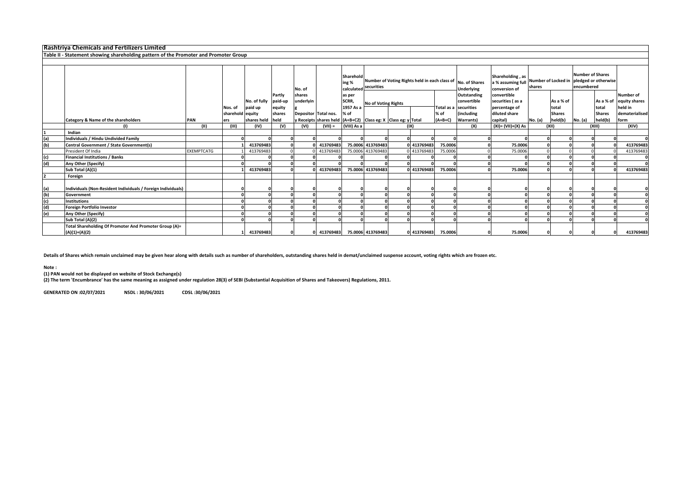|     | <b>Rashtriya Chemicals and Fertilizers Limited</b>                                   |                   |                             |                         |                                       |                                             |                                                               |                                      |                            |  |             |           |                                                                                  |                                                                   |         |                                       |                |                                                               |                                                                   |
|-----|--------------------------------------------------------------------------------------|-------------------|-----------------------------|-------------------------|---------------------------------------|---------------------------------------------|---------------------------------------------------------------|--------------------------------------|----------------------------|--|-------------|-----------|----------------------------------------------------------------------------------|-------------------------------------------------------------------|---------|---------------------------------------|----------------|---------------------------------------------------------------|-------------------------------------------------------------------|
|     | Table II - Statement showing shareholding pattern of the Promoter and Promoter Group |                   |                             |                         |                                       |                                             |                                                               |                                      |                            |  |             |           |                                                                                  |                                                                   |         |                                       |                |                                                               |                                                                   |
|     |                                                                                      |                   |                             |                         |                                       |                                             |                                                               |                                      |                            |  |             |           |                                                                                  |                                                                   |         |                                       |                |                                                               |                                                                   |
|     |                                                                                      |                   |                             |                         |                                       | No. of                                      |                                                               | Sharehold<br>ing %                   | calculated securities      |  |             |           | Number of Voting Rights held in each class of No. of Shares<br><b>Underlying</b> | Shareholding, as<br>conversion of                                 | shares  | a % assuming full Number of Locked in |                | <b>Number of Shares</b><br>pledged or otherwise<br>encumbered |                                                                   |
|     |                                                                                      |                   | Nos. of<br>sharehold equity | No. of fully<br>paid up | Partly<br>paid-up<br>equity<br>shares | shares<br>underlyin<br>Depositor Total nos. |                                                               | as per<br>SCRR,<br>1957 As a<br>% of | <b>No of Voting Rights</b> |  |             | % of      | Outstanding<br>convertible<br>Total as a securities<br><i><b>(including</b></i>  | convertible<br>securities (as a<br>percentage of<br>diluted share |         | As a % of<br>total<br><b>Shares</b>   |                | total<br><b>Shares</b>                                        | Number of<br>As a % of equity shares<br>held in<br>dematerialised |
|     | Category & Name of the shareholders                                                  | PAN               | ers                         | shares held             | held                                  |                                             | y Receipts shares held (A+B+C2) Class eg: X Class eg: y Total |                                      |                            |  |             | $(A+B+C)$ | <b>Warrants</b> )                                                                | capital)                                                          | No. (a) | held(b)                               | <b>No.</b> (a) | held(b)                                                       | form                                                              |
|     | (1)                                                                                  | (II)              | (III)                       | (IV)                    | (V)                                   | (VI)                                        | $(VII) =$                                                     | (VIII) As a                          |                            |  | (IX)        |           | (X)                                                                              | $(XI) = (VII)+(X) As$                                             |         | (X  )                                 |                | (XIII)                                                        | (XIV)                                                             |
|     | Indian                                                                               |                   |                             |                         |                                       |                                             |                                                               |                                      |                            |  |             |           |                                                                                  |                                                                   |         |                                       |                |                                                               |                                                                   |
| (a) | Individuals / Hindu Undivided Family                                                 |                   |                             |                         |                                       |                                             |                                                               |                                      |                            |  |             |           |                                                                                  |                                                                   |         |                                       |                |                                                               |                                                                   |
| (b) | Central Government / State Government(s)                                             |                   |                             | 413769483               |                                       |                                             | 413769483                                                     |                                      | 75.0006 413769483          |  | 0 413769483 | 75.0006   |                                                                                  | 75.0006                                                           |         |                                       |                |                                                               | 413769483                                                         |
|     | President Of India                                                                   | <b>EXEMPTCATG</b> |                             | 413769483               |                                       |                                             | 413769483                                                     |                                      | 75.0006 413769483          |  | 0 413769483 | 75.0006   |                                                                                  | 75.0006                                                           |         |                                       |                |                                                               | 413769483                                                         |
| (c) | <b>Financial Institutions / Banks</b>                                                |                   |                             |                         |                                       |                                             |                                                               |                                      |                            |  |             |           |                                                                                  |                                                                   |         |                                       |                |                                                               |                                                                   |
| (d) | Any Other (Specify)                                                                  |                   |                             |                         |                                       |                                             |                                                               |                                      |                            |  |             |           |                                                                                  |                                                                   |         |                                       |                |                                                               |                                                                   |
|     | Sub Total (A)(1)                                                                     |                   |                             | 413769483               |                                       |                                             | 413769483                                                     |                                      | 75.0006 413769483          |  | 0 413769483 | 75.0006   |                                                                                  | 75.0006                                                           |         |                                       |                |                                                               | 413769483                                                         |
|     | Foreign                                                                              |                   |                             |                         |                                       |                                             |                                                               |                                      |                            |  |             |           |                                                                                  |                                                                   |         |                                       |                |                                                               |                                                                   |
| (a) | Individuals (Non-Resident Individuals / Foreign Individuals)                         |                   |                             |                         |                                       |                                             |                                                               |                                      |                            |  |             |           |                                                                                  |                                                                   |         |                                       |                |                                                               |                                                                   |
| (b) | Government                                                                           |                   |                             |                         |                                       |                                             |                                                               |                                      |                            |  |             |           |                                                                                  |                                                                   |         |                                       |                |                                                               |                                                                   |
| (c) | <b>Institutions</b>                                                                  |                   |                             |                         |                                       |                                             |                                                               |                                      |                            |  |             |           |                                                                                  |                                                                   |         |                                       |                |                                                               |                                                                   |
| (d) | <b>Foreign Portfolio Investor</b>                                                    |                   |                             |                         |                                       |                                             |                                                               |                                      |                            |  |             |           |                                                                                  |                                                                   |         |                                       |                |                                                               |                                                                   |
| (e) | Any Other (Specify)                                                                  |                   |                             |                         |                                       |                                             |                                                               |                                      |                            |  |             |           |                                                                                  |                                                                   |         |                                       |                |                                                               |                                                                   |
|     | Sub Total (A)(2)                                                                     |                   |                             |                         |                                       |                                             |                                                               |                                      |                            |  |             |           |                                                                                  |                                                                   |         |                                       |                |                                                               |                                                                   |
|     | Total Shareholding Of Promoter And Promoter Group (A)=<br>$(A)(1)+(A)(2)$            |                   |                             | 413769483               |                                       |                                             | 413769483                                                     |                                      | 75.0006 413769483          |  | 0 413769483 | 75.0006   |                                                                                  | 75.0006                                                           |         |                                       |                |                                                               | 413769483                                                         |

**Details of Shares which remain unclaimed may be given hear along with details such as number of shareholders, outstanding shares held in demat/unclaimed suspense account, voting rights which are frozen etc.**

**Note :**

**(1) PAN would not be displayed on website of Stock Exchange(s)** 

**(2) The term 'Encumbrance' has the same meaning as assigned under regulation 28(3) of SEBI (Substantial Acquisition of Shares and Takeovers) Regulations, 2011.**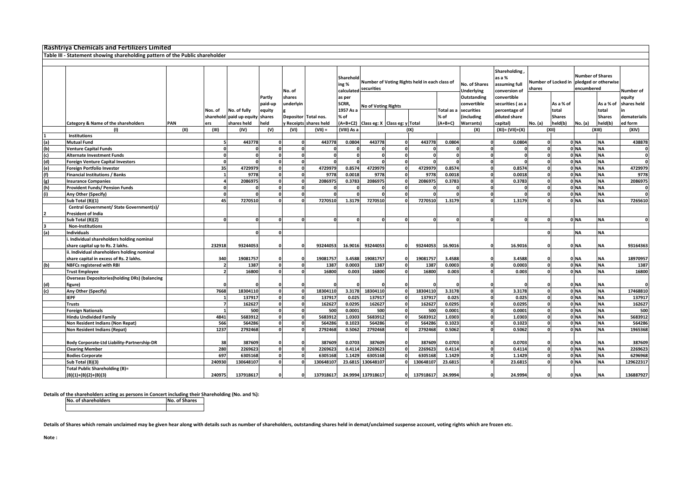|            | <b>Rashtriya Chemicals and Fertilizers Limited</b>                           |            |                   |                                                 |                             |                     |                      |                                      |                                                             |              |              |                                                                                                       |                                                        |                                                                   |              |                                                                                   |              |                                     |                                       |
|------------|------------------------------------------------------------------------------|------------|-------------------|-------------------------------------------------|-----------------------------|---------------------|----------------------|--------------------------------------|-------------------------------------------------------------|--------------|--------------|-------------------------------------------------------------------------------------------------------|--------------------------------------------------------|-------------------------------------------------------------------|--------------|-----------------------------------------------------------------------------------|--------------|-------------------------------------|---------------------------------------|
|            | Table III - Statement showing shareholding pattern of the Public shareholder |            |                   |                                                 |                             |                     |                      |                                      |                                                             |              |              |                                                                                                       |                                                        |                                                                   |              |                                                                                   |              |                                     |                                       |
|            |                                                                              |            |                   |                                                 |                             |                     |                      |                                      |                                                             |              |              |                                                                                                       |                                                        |                                                                   |              |                                                                                   |              |                                     |                                       |
|            |                                                                              |            |                   |                                                 |                             | No. of              |                      | Sharehold<br>ing %<br>calculated     | Number of Voting Rights held in each class of<br>securities |              |              | <b>Shareholding</b><br>as a %<br>No. of Shares<br>assuming full<br><b>Underlying</b><br>conversion of |                                                        | shares                                                            |              | <b>Number of Shares</b><br>Number of Locked in pledged or otherwise<br>encumbered |              | Number of                           |                                       |
|            |                                                                              |            | Nos. of           | No. of fully<br>sharehold paid up equity shares | Partly<br>paid-up<br>equity | shares<br>underlyin | Depositor Total nos. | as per<br>SCRR,<br>1957 As a<br>% of | <b>No of Voting Rights</b>                                  |              |              | <b>Fotal as a</b><br>% of                                                                             | Outstanding<br>convertible<br>securities<br>including) | convertible<br>securities (as a<br>percentage of<br>diluted share |              | As a % of<br>total<br><b>Shares</b>                                               |              | As a % of<br>total<br><b>Shares</b> | equity<br>shares held<br>dematerialis |
|            | Category & Name of the shareholders                                          | <b>PAN</b> | ers               | shares held                                     | held                        |                     | Receipts shares held | A+B+C2)                              | Class eg: X Class eg: y Total                               |              |              | (A+B+C)                                                                                               | Warrants)                                              | capital)                                                          | No. (a)      | held(b)                                                                           | No. (a)      | held(b)                             | ed form                               |
|            | (1)                                                                          | (11)       | (III)             | (IV)                                            | (V)                         | (VI)                | $(VII) =$            | (VIII) As a                          |                                                             |              | (IX)         |                                                                                                       | (X)                                                    | $(XI) = (VII)+(X)$                                                |              | (XII)                                                                             |              | (XIII)                              | (XIV)                                 |
|            | <b>Institutions</b>                                                          |            |                   |                                                 |                             |                     |                      |                                      |                                                             |              |              |                                                                                                       |                                                        |                                                                   |              |                                                                                   |              |                                     |                                       |
| (a)        | <b>Mutual Fund</b>                                                           |            | 5                 | 443778                                          |                             |                     | 443778               | 0.0804                               | 443778                                                      |              | 443778       | 0.0804                                                                                                |                                                        | 0.0804                                                            |              |                                                                                   | 0 NA         | <b>NA</b>                           | 438878                                |
| (b)        | <b>Venture Capital Funds</b>                                                 |            | $\mathbf{0}$      |                                                 | $\Omega$                    | $\mathbf{0}$        | $\Omega$             |                                      |                                                             | $\Omega$     | $\Omega$     |                                                                                                       |                                                        |                                                                   | $\Omega$     |                                                                                   | 0 NA         | <b>NA</b>                           |                                       |
| (c)        | Alternate Investment Funds                                                   |            | $\mathbf{0}$      | $\Omega$                                        | $\Omega$                    | $\mathbf{0}$        | $\Omega$             |                                      | $\Omega$                                                    | $\Omega$     | $\mathbf{0}$ | $\Omega$                                                                                              |                                                        | <sup>0</sup><br>$\Omega$                                          | $\mathbf 0$  |                                                                                   | 0 NA         | <b>NA</b>                           |                                       |
| (d)        | <b>Foreign Venture Capital Investors</b>                                     |            | $\mathbf{0}$      | $\mathbf{a}$                                    |                             | $\mathbf{0}$        | $\Omega$             |                                      | $\mathbf{a}$                                                |              |              |                                                                                                       |                                                        |                                                                   |              |                                                                                   | 0 NA         | <b>NA</b>                           |                                       |
| (e)        | Foreign Portfolio Investor                                                   |            | 35                | 4729979                                         | n                           | $\mathbf{0}$        | 4729979              | 0.8574                               | 4729979                                                     |              | 4729979      | 0.8574                                                                                                | $\Omega$                                               | 0.8574                                                            |              |                                                                                   | 0 NA         | <b>NA</b>                           | 4729979                               |
| (f)        | Financial Institutions / Banks                                               |            |                   | 9778<br>2086975                                 | <sup>0</sup>                | O<br>$\mathbf{0}$   | 9778<br>2086975      | 0.0018                               | 9778<br>2086975                                             |              | 9778         | 0.0018                                                                                                |                                                        | 0.0018                                                            |              |                                                                                   | 0 NA<br>0 NA | <b>NA</b><br><b>NA</b>              | 9778                                  |
| (g)<br>(h) | <b>Insurance Companies</b>                                                   |            | 4<br>$\mathbf{0}$ | $\Omega$                                        | $\Omega$                    | $\mathbf{0}$        |                      | 0.3783                               | $\Omega$                                                    | n            | 2086975      | 0.3783                                                                                                |                                                        | 0.3783<br>$\Omega$                                                | $\Omega$     |                                                                                   | 0 NA         | <b>NA</b>                           | 2086975                               |
| (i)        | Provident Funds/ Pension Funds<br>Any Other (Specify)                        |            | $\Omega$          | $\mathbf{a}$                                    | $\Omega$                    | $\mathbf{0}$        |                      |                                      |                                                             |              |              |                                                                                                       |                                                        |                                                                   | $\Omega$     |                                                                                   | 0 NA         | <b>NA</b>                           |                                       |
|            | Sub Total (B)(1)                                                             |            | 45                | 7270510                                         |                             | $\Omega$            | 7270510              | 1.3179                               | 7270510                                                     |              | 7270510      | 1.3179                                                                                                |                                                        | 1.3179                                                            |              |                                                                                   | 0 NA         | <b>NA</b>                           | 7265610                               |
|            | Central Government/ State Government(s)/                                     |            |                   |                                                 |                             |                     |                      |                                      |                                                             |              |              |                                                                                                       |                                                        |                                                                   |              |                                                                                   |              |                                     |                                       |
|            | <b>President of India</b>                                                    |            |                   |                                                 |                             |                     |                      |                                      |                                                             |              |              |                                                                                                       |                                                        |                                                                   |              |                                                                                   |              |                                     |                                       |
|            | Sub Total (B)(2)                                                             |            | $\mathbf{0}$      | $\mathbf{0}$                                    | $\mathbf{r}$                |                     | $\Omega$             |                                      |                                                             |              |              | $\Omega$                                                                                              |                                                        |                                                                   |              |                                                                                   | OINA         | <b>NA</b>                           |                                       |
|            | <b>Non-Institutions</b>                                                      |            |                   |                                                 |                             |                     |                      |                                      |                                                             |              |              |                                                                                                       |                                                        |                                                                   |              |                                                                                   |              |                                     |                                       |
| (a)        | <b>Individuals</b>                                                           |            |                   | $\Omega$                                        |                             |                     |                      |                                      |                                                             |              |              |                                                                                                       |                                                        |                                                                   | $\Omega$     |                                                                                   | <b>NA</b>    | <b>NA</b>                           |                                       |
|            | . Individual shareholders holding nominal                                    |            |                   |                                                 |                             |                     |                      |                                      |                                                             |              |              |                                                                                                       |                                                        |                                                                   |              |                                                                                   |              |                                     |                                       |
|            | share capital up to Rs. 2 lakhs.                                             |            | 232918            | 93244053                                        |                             |                     | 93244053             | 16.9016                              | 93244053                                                    |              | 93244053     | 16.9016                                                                                               |                                                        | 16.9016                                                           |              |                                                                                   | 0 NA         | <b>NA</b>                           | 93164363                              |
|            | ii. Individual shareholders holding nominal                                  |            |                   |                                                 |                             |                     |                      |                                      |                                                             |              |              |                                                                                                       |                                                        |                                                                   |              |                                                                                   |              |                                     |                                       |
|            | share capital in excess of Rs. 2 lakhs.                                      |            | 340               | 19081757                                        |                             |                     | 19081757             | 3.4588                               | 19081757                                                    |              | 19081757     | 3.4588                                                                                                |                                                        | 3.4588                                                            |              |                                                                                   | 0 NA         | <b>NA</b>                           | 18970957                              |
| (b)        | <b>NBFCs registered with RBI</b>                                             |            |                   | 1387                                            | n                           | O                   | 1387                 | 0.0003                               | 1387                                                        | $\Omega$     | 1387         | 0.0003                                                                                                |                                                        | 0.0003                                                            | $\mathbf{0}$ |                                                                                   | OINA         | <b>NA</b>                           | 1387                                  |
|            | <b>Trust Employee</b>                                                        |            |                   | 16800                                           |                             |                     | 16800                | 0.003                                | 16800                                                       |              | 16800        | 0.003                                                                                                 |                                                        | 0.003                                                             |              |                                                                                   | ONA          | <b>NA</b>                           | 16800                                 |
|            | <b>Overseas Depositories (holding DRs) (balancing</b>                        |            |                   |                                                 |                             |                     |                      |                                      |                                                             |              |              |                                                                                                       |                                                        |                                                                   |              |                                                                                   |              |                                     |                                       |
| (d)        | figure)                                                                      |            | $\Omega$          |                                                 |                             |                     |                      |                                      |                                                             |              |              |                                                                                                       |                                                        |                                                                   |              |                                                                                   | 0 NA         | <b>NA</b>                           |                                       |
| (c)        | Any Other (Specify)                                                          |            | 7668              | 18304110                                        | $\Omega$                    | 0                   | 18304110             | 3.3178                               | 18304110                                                    |              | 18304110     | 3.3178                                                                                                | $\Omega$                                               | 3.3178                                                            | $\mathbf 0$  |                                                                                   | 0 NA         | <b>NA</b>                           | 17468810                              |
|            | <b>IEPF</b>                                                                  |            |                   | 137917                                          |                             | $\mathbf{0}$        | 137917               | 0.025                                | 137917                                                      |              | 137917       | 0.025                                                                                                 |                                                        | 0.025                                                             | $\Omega$     |                                                                                   | 0 NA         | <b>NA</b>                           | 137917                                |
|            | <b>Trusts</b>                                                                |            | $\overline{ }$    | 162627                                          | $\Omega$                    | $\mathbf{0}$        | 162627               | 0.0295                               | 162627                                                      | $\mathbf{0}$ | 162627       | 0.0295                                                                                                | $\mathbf{0}$                                           | 0.0295                                                            | ol           |                                                                                   | 0 NA         | <b>NA</b>                           | 162627                                |
|            | <b>Foreign Nationals</b>                                                     |            |                   | 500                                             |                             | 0                   | 500                  | 0.0001                               | 500                                                         | $\Omega$     | 500          | 0.0001                                                                                                |                                                        | 0.0001                                                            | 0            |                                                                                   | 0 NA         | <b>NA</b>                           | 500                                   |
|            | <b>Hindu Undivided Family</b>                                                |            | 4841              | 5683912                                         |                             | 0                   | 5683912              | 1.0303                               | 5683912                                                     |              | 5683912      | 1.0303                                                                                                |                                                        | 1.0303                                                            |              |                                                                                   | 0 NA         | <b>NA</b>                           | 5683912                               |
|            | Non Resident Indians (Non Repat)                                             |            | 566               | 564286                                          |                             | $\mathbf{0}$        | 564286               | 0.1023                               | 564286                                                      |              | 564286       | 0.1023                                                                                                |                                                        | 0.1023                                                            |              |                                                                                   | 0 NA         | <b>NA</b>                           | 564286                                |
|            | Non Resident Indians (Repat)                                                 |            | 1237              | 2792468                                         |                             | $\mathbf{0}$        | 2792468              | 0.5062                               | 2792468                                                     |              | 2792468      | 0.5062                                                                                                |                                                        | 0.5062                                                            | $\Omega$     |                                                                                   | 0 NA         | <b>NA</b>                           | 1965368                               |
|            | Body Corporate-Ltd Liability-Partnership-DR                                  |            | 38                | 387609                                          | O                           | 0                   | 387609               | 0.0703                               | 387609                                                      |              | 387609       | 0.0703                                                                                                |                                                        | 0.0703                                                            | 0            |                                                                                   | 0 NA         | <b>NA</b>                           | 387609                                |
|            | <b>Clearing Member</b>                                                       |            | 280               | 2269623                                         | $\Omega$                    | $\mathbf{0}$        | 2269623              | 0.4114                               | 2269623                                                     |              | 2269623      | 0.4114                                                                                                | 0                                                      | 0.4114                                                            | $\mathbf{0}$ |                                                                                   | 0 NA         | <b>NA</b>                           | 2269623                               |
|            | <b>Bodies Corporate</b>                                                      |            | 697               | 6305168                                         |                             |                     | 6305168              | 1.1429                               | 6305168                                                     |              | 6305168      | 1.1429                                                                                                |                                                        | 1.1429                                                            | 0            |                                                                                   | 0 NA         | <b>NA</b>                           | 6296968                               |
|            | Sub Total (B)(3)                                                             |            | 240930            | 130648107                                       |                             |                     | 130648107            | 23.6815                              | 130648107                                                   |              | 130648107    | 23.6815                                                                                               |                                                        | 23.6815                                                           |              |                                                                                   | 0 NA         | <b>NA</b>                           | 129622317                             |
|            | <b>Total Public Shareholding (B)=</b>                                        |            |                   |                                                 |                             |                     |                      |                                      |                                                             |              |              |                                                                                                       |                                                        |                                                                   |              |                                                                                   |              |                                     |                                       |
|            | $(B)(1)+(B)(2)+(B)(3)$                                                       |            | 240975            | 137918617                                       |                             |                     | 137918617            |                                      | 24.9994 137918617                                           |              | 137918617    | 24.9994                                                                                               |                                                        | 24.9994                                                           |              |                                                                                   | 0 NA         | <b>NA</b>                           | 136887927                             |

**Details of the shareholders acting as persons in Concert including their Shareholding (No. and %):**<br>No. of shareholders **No.** of Shares

**No. of shareholders No. of Shares**

**Details of Shares which remain unclaimed may be given hear along with details such as number of shareholders, outstanding shares held in demat/unclaimed suspense account, voting rights which are frozen etc.**

**Note :**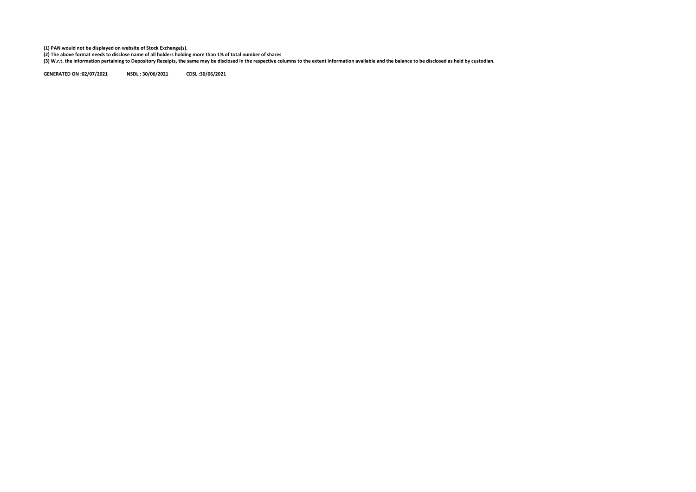**(1) PAN would not be displayed on website of Stock Exchange(s).** 

(2) The above format needs to disclose name of all holders holding more than 1% of total number of shares<br>(3) W.r.t. the information pertaining to Depository Receipts, the same may be disclosed in the respective columns to